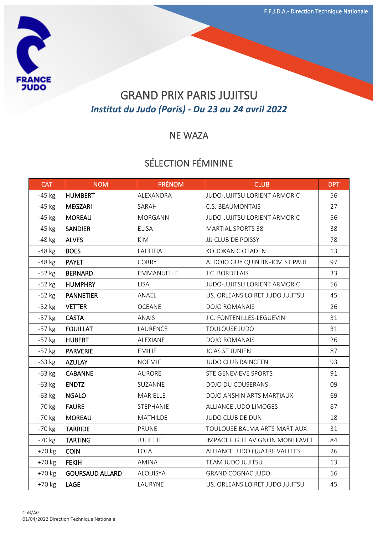

# GRAND PRIX PARIS JUJITSU *Institut du Judo (Paris) - Du 23 au 24 avril 2022*

#### NE WAZA

## SÉLECTION FÉMININE

| <b>CAT</b> | <b>NOM</b>             | <b>PRÉNOM</b>    | <b>CLUB</b>                           | <b>DPT</b> |
|------------|------------------------|------------------|---------------------------------------|------------|
| $-45$ kg   | <b>HUMBERT</b>         | ALEXANDRA        | JUDO-JUJITSU LORIENT ARMORIC          | 56         |
| $-45$ kg   | MEGZARI                | SARAH            | C.S. BEAUMONTAIS                      | 27         |
| $-45$ kg   | <b>MOREAU</b>          | <b>MORGANN</b>   | JUDO-JUJITSU LORIENT ARMORIC          | 56         |
| $-45$ kg   | <b>SANDIER</b>         | <b>ELISA</b>     | <b>MARTIAL SPORTS 38</b>              | 38         |
| -48 kg     | <b>ALVES</b>           | <b>KIM</b>       | <b>JJJ CLUB DE POISSY</b>             | 78         |
| $-48$ kg   | <b>BOES</b>            | LAETITIA         | KODOKAN CIOTADEN                      | 13         |
| -48 kg     | PAYET                  | <b>CORRY</b>     | A. DOJO GUY QUINTIN-JCM ST PAUL       | 97         |
| $-52$ kg   | <b>BERNARD</b>         | EMMANUELLE       | J.C. BORDELAIS                        | 33         |
| $-52$ kg   | <b>HUMPHRY</b>         | <b>LISA</b>      | JUDO-JUJITSU LORIENT ARMORIC          | 56         |
| $-52$ kg   | <b>PANNETIER</b>       | ANAEL            | US. ORLEANS LOIRET JUDO JUJITSU       | 45         |
| $-52$ kg   | <b>VETTER</b>          | <b>OCEANE</b>    | <b>DOJO ROMANAIS</b>                  | 26         |
| $-57$ kg   | <b>CASTA</b>           | <b>ANAIS</b>     | J C. FONTENILLES-LEGUEVIN             | 31         |
| $-57$ kg   | <b>FOUILLAT</b>        | LAURENCE         | <b>TOULOUSE JUDO</b>                  | 31         |
| $-57$ kg   | <b>HUBERT</b>          | ALEXIANE         | <b>DOJO ROMANAIS</b>                  | 26         |
| $-57$ kg   | PARVERIE               | <b>EMILIE</b>    | JC AS ST JUNIEN                       | 87         |
| $-63$ kg   | <b>AZULAY</b>          | <b>NOEMIE</b>    | <b>JUDO CLUB RAINCEEN</b>             | 93         |
| $-63$ kg   | <b>CABANNE</b>         | <b>AURORE</b>    | <b>STE GENEVIEVE SPORTS</b>           | 91         |
| $-63$ kg   | <b>ENDTZ</b>           | SUZANNE          | DOJO DU COUSERANS                     | 09         |
| $-63$ kg   | <b>NGALO</b>           | MARIELLE         | DOJO ANSHIN ARTS MARTIAUX             | 69         |
| $-70$ kg   | <b>FAURE</b>           | <b>STEPHANIE</b> | ALLIANCE JUDO LIMOGES                 | 87         |
| $-70$ kg   | MOREAU                 | <b>MATHILDE</b>  | <b>JUDO CLUB DE DUN</b>               | 18         |
| $-70$ kg   | <b>TARRIDE</b>         | <b>PRUNE</b>     | TOULOUSE BALMA ARTS MARTIAUX          | 31         |
| $-70$ kg   | <b>TARTING</b>         | <b>JULIETTE</b>  | <b>IMPACT FIGHT AVIGNON MONTFAVET</b> | 84         |
| +70 kg     | <b>COIN</b>            | LOLA             | ALLIANCE JUDO QUATRE VALLEES          | 26         |
| $+70$ kg   | <b>FEKIH</b>           | <b>AMINA</b>     | TEAM JUDO JUJITSU                     | 13         |
| +70 kg     | <b>GOURSAUD ALLARD</b> | ALOUISYA         | <b>GRAND COGNAC JUDO</b>              | 16         |
| $+70$ kg   | <b>LAGE</b>            | LAURYNE          | US. ORLEANS LOIRET JUDO JUJITSU       | 45         |